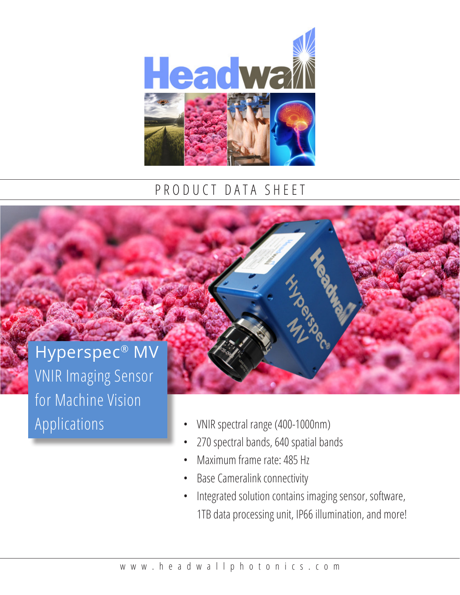

## PRODUCT DATA SHEET

## Hyperspec® MV VNIR Imaging Sensor for Machine Vision Applications



- VNIR spectral range (400-1000nm)
- 270 spectral bands, 640 spatial bands
- Maximum frame rate: 485 Hz
- Base Cameralink connectivity
- Integrated solution contains imaging sensor, software, 1TB data processing unit, IP66 illumination, and more!